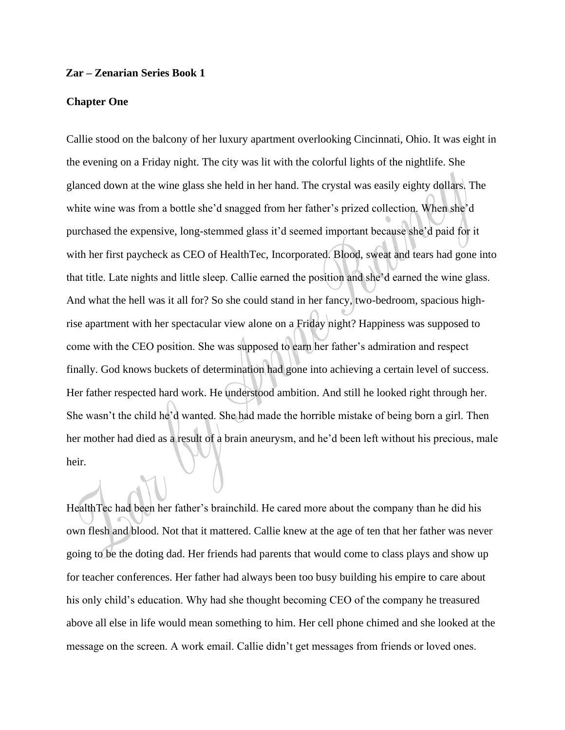## **Zar – Zenarian Series Book 1**

## **Chapter One**

Callie stood on the balcony of her luxury apartment overlooking Cincinnati, Ohio. It was eight in the evening on a Friday night. The city was lit with the colorful lights of the nightlife. She glanced down at the wine glass she held in her hand. The crystal was easily eighty dollars. The white wine was from a bottle she'd snagged from her father's prized collection. When she'd purchased the expensive, long-stemmed glass it'd seemed important because she'd paid for it with her first paycheck as CEO of HealthTec, Incorporated. Blood, sweat and tears had gone into that title. Late nights and little sleep. Callie earned the position and she'd earned the wine glass. And what the hell was it all for? So she could stand in her fancy, two-bedroom, spacious highrise apartment with her spectacular view alone on a Friday night? Happiness was supposed to come with the CEO position. She was supposed to earn her father's admiration and respect finally. God knows buckets of determination had gone into achieving a certain level of success. Her father respected hard work. He understood ambition. And still he looked right through her. She wasn't the child he'd wanted. She had made the horrible mistake of being born a girl. Then her mother had died as a result of a brain aneurysm, and he'd been left without his precious, male heir.

HealthTec had been her father's brainchild. He cared more about the company than he did his own flesh and blood. Not that it mattered. Callie knew at the age of ten that her father was never going to be the doting dad. Her friends had parents that would come to class plays and show up for teacher conferences. Her father had always been too busy building his empire to care about his only child's education. Why had she thought becoming CEO of the company he treasured above all else in life would mean something to him. Her cell phone chimed and she looked at the message on the screen. A work email. Callie didn't get messages from friends or loved ones.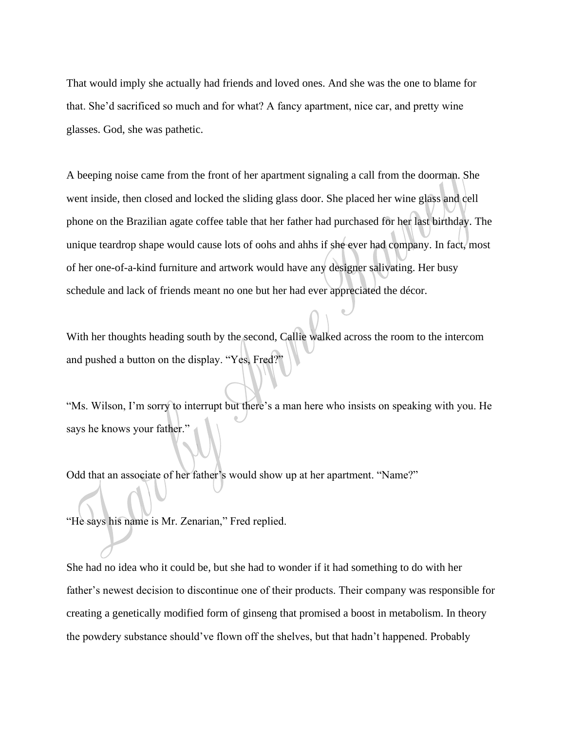That would imply she actually had friends and loved ones. And she was the one to blame for that. She'd sacrificed so much and for what? A fancy apartment, nice car, and pretty wine glasses. God, she was pathetic.

A beeping noise came from the front of her apartment signaling a call from the doorman. She went inside, then closed and locked the sliding glass door. She placed her wine glass and cell phone on the Brazilian agate coffee table that her father had purchased for her last birthday. The unique teardrop shape would cause lots of oohs and ahhs if she ever had company. In fact, most of her one-of-a-kind furniture and artwork would have any designer salivating. Her busy schedule and lack of friends meant no one but her had ever appreciated the décor.

With her thoughts heading south by the second, Callie walked across the room to the intercom and pushed a button on the display. "Yes, Fred?"

"Ms. Wilson, I'm sorry to interrupt but there's a man here who insists on speaking with you. He says he knows your father.'

Odd that an associate of her father's would show up at her apartment. "Name?"

"He says his name is Mr. Zenarian," Fred replied.

She had no idea who it could be, but she had to wonder if it had something to do with her father's newest decision to discontinue one of their products. Their company was responsible for creating a genetically modified form of ginseng that promised a boost in metabolism. In theory the powdery substance should've flown off the shelves, but that hadn't happened. Probably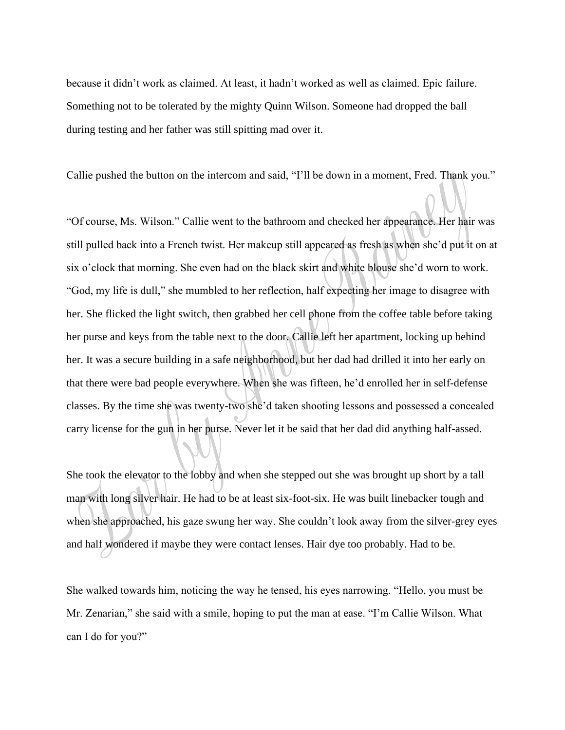because it didn't work as claimed. At least, it hadn't worked as well as claimed. Epic failure. Something not to be tolerated by the mighty Quinn Wilson. Someone had dropped the ball during testing and her father was still spitting mad over it.

Callie pushed the button on the intercom and said, "I'll be down in a moment, Fred. Thank you."

"Of course, Ms. Wilson." Callie went to the bathroom and checked her appearance. Her hair was still pulled back into a French twist. Her makeup still appeared as fresh as when she'd put it on at six o'clock that morning. She even had on the black skirt and white blouse she'd worn to work. "God, my life is dull," she mumbled to her reflection, half expecting her image to disagree with her. She flicked the light switch, then grabbed her cell phone from the coffee table before taking her purse and keys from the table next to the door. Callie left her apartment, locking up behind her. It was a secure building in a safe neighborhood, but her dad had drilled it into her early on that there were bad people everywhere. When she was fifteen, he'd enrolled her in self-defense classes. By the time she was twenty-two she'd taken shooting lessons and possessed a concealed carry license for the gun in her purse. Never let it be said that her dad did anything half-assed.

She took the elevator to the lobby and when she stepped out she was brought up short by a tall man with long silver hair. He had to be at least six-foot-six. He was built linebacker tough and when she approached, his gaze swung her way. She couldn't look away from the silver-grey eyes and half wondered if maybe they were contact lenses. Hair dye too probably. Had to be.

She walked towards him, noticing the way he tensed, his eyes narrowing. "Hello, you must be Mr. Zenarian," she said with a smile, hoping to put the man at ease. "I'm Callie Wilson. What can I do for you?"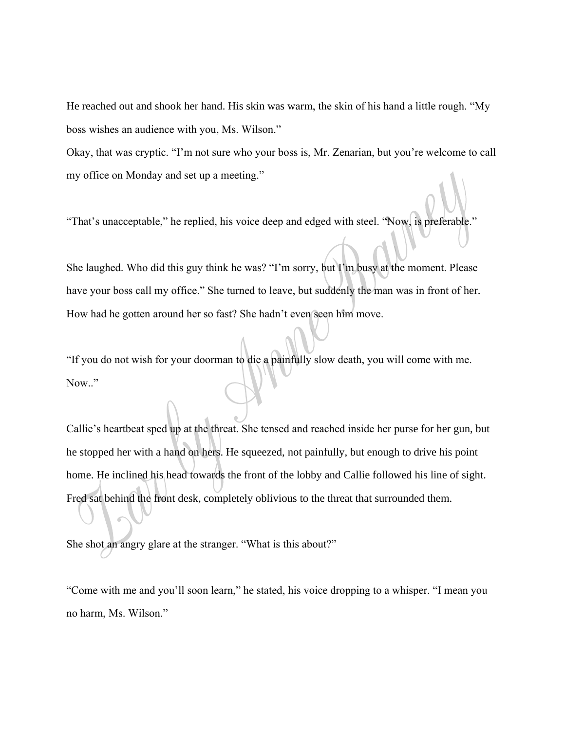He reached out and shook her hand. His skin was warm, the skin of his hand a little rough. "My boss wishes an audience with you, Ms. Wilson."

Okay, that was cryptic. "I'm not sure who your boss is, Mr. Zenarian, but you're welcome to call my office on Monday and set up a meeting."

"That's unacceptable," he replied, his voice deep and edged with steel. "Now, is preferable."

She laughed. Who did this guy think he was? "I'm sorry, but I'm busy at the moment. Please have your boss call my office." She turned to leave, but suddenly the man was in front of her. How had he gotten around her so fast? She hadn't even seen him move.

"If you do not wish for your doorman to die a painfully slow death, you will come with me. Now.."

Callie's heartbeat sped up at the threat. She tensed and reached inside her purse for her gun, but he stopped her with a hand on hers. He squeezed, not painfully, but enough to drive his point home. He inclined his head towards the front of the lobby and Callie followed his line of sight. Fred sat behind the front desk, completely oblivious to the threat that surrounded them.

She shot an angry glare at the stranger. "What is this about?"

"Come with me and you'll soon learn," he stated, his voice dropping to a whisper. "I mean you no harm, Ms. Wilson."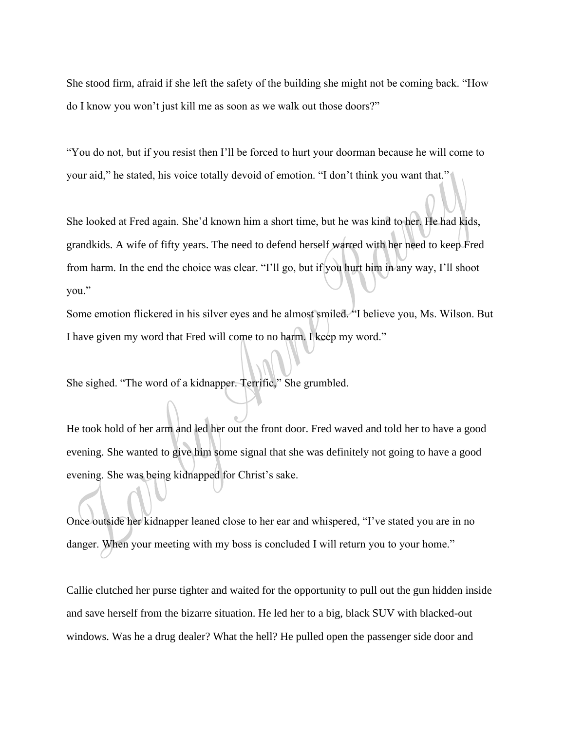She stood firm, afraid if she left the safety of the building she might not be coming back. "How do I know you won't just kill me as soon as we walk out those doors?"

"You do not, but if you resist then I'll be forced to hurt your doorman because he will come to your aid," he stated, his voice totally devoid of emotion. "I don't think you want that."

She looked at Fred again. She'd known him a short time, but he was kind to her. He had kids, grandkids. A wife of fifty years. The need to defend herself warred with her need to keep Fred from harm. In the end the choice was clear. "I'll go, but if you hurt him in any way, I'll shoot you."

Some emotion flickered in his silver eyes and he almost smiled. "I believe you, Ms. Wilson. But I have given my word that Fred will come to no harm. I keep my word."

She sighed. "The word of a kidnapper. Terrific," She grumbled.

He took hold of her arm and led her out the front door. Fred waved and told her to have a good evening. She wanted to give him some signal that she was definitely not going to have a good evening. She was being kidnapped for Christ's sake.

Once outside her kidnapper leaned close to her ear and whispered, "I've stated you are in no danger. When your meeting with my boss is concluded I will return you to your home."

Callie clutched her purse tighter and waited for the opportunity to pull out the gun hidden inside and save herself from the bizarre situation. He led her to a big, black SUV with blacked-out windows. Was he a drug dealer? What the hell? He pulled open the passenger side door and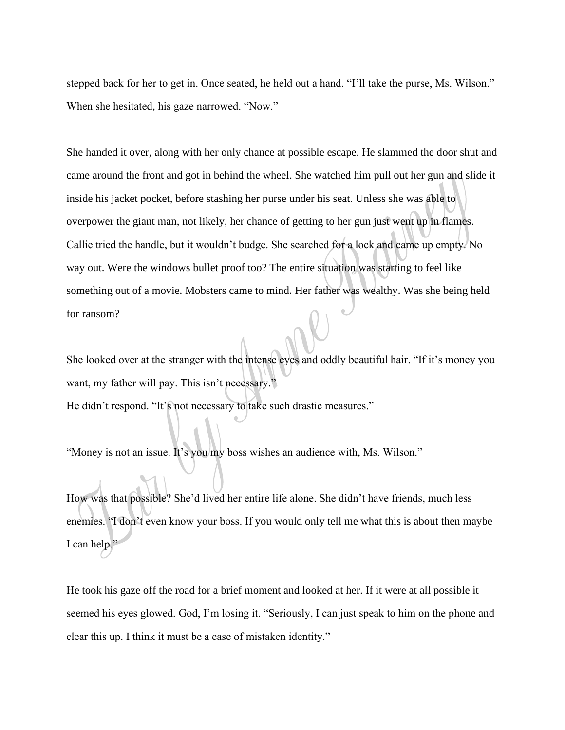stepped back for her to get in. Once seated, he held out a hand. "I'll take the purse, Ms. Wilson." When she hesitated, his gaze narrowed. "Now."

She handed it over, along with her only chance at possible escape. He slammed the door shut and came around the front and got in behind the wheel. She watched him pull out her gun and slide it inside his jacket pocket, before stashing her purse under his seat. Unless she was able to overpower the giant man, not likely, her chance of getting to her gun just went up in flames. Callie tried the handle, but it wouldn't budge. She searched for a lock and came up empty. No way out. Were the windows bullet proof too? The entire situation was starting to feel like something out of a movie. Mobsters came to mind. Her father was wealthy. Was she being held for ransom?

She looked over at the stranger with the intense eyes and oddly beautiful hair. "If it's money you want, my father will pay. This isn't necessary."

He didn't respond. "It's not necessary to take such drastic measures."

"Money is not an issue. It's you my boss wishes an audience with, Ms. Wilson."

How was that possible? She'd lived her entire life alone. She didn't have friends, much less enemies. "I don't even know your boss. If you would only tell me what this is about then maybe I can help."

He took his gaze off the road for a brief moment and looked at her. If it were at all possible it seemed his eyes glowed. God, I'm losing it. "Seriously, I can just speak to him on the phone and clear this up. I think it must be a case of mistaken identity."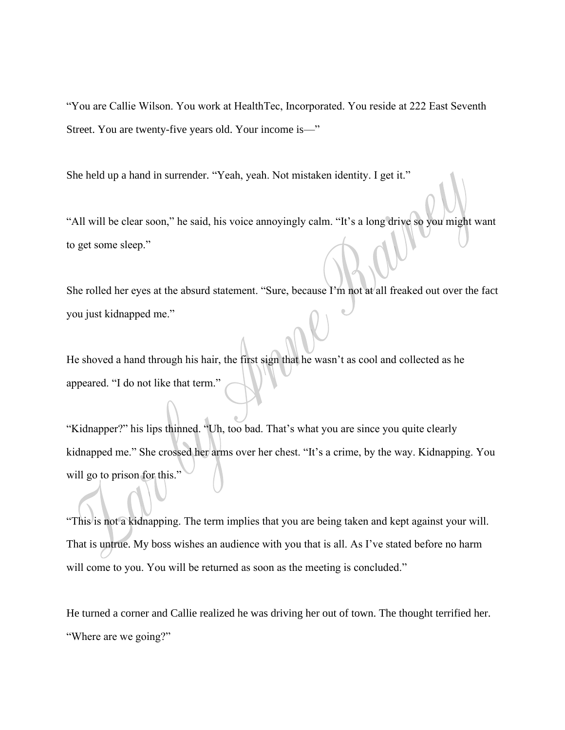"You are Callie Wilson. You work at HealthTec, Incorporated. You reside at 222 East Seventh Street. You are twenty-five years old. Your income is—"

She held up a hand in surrender. "Yeah, yeah. Not mistaken identity. I get it."

"All will be clear soon," he said, his voice annoyingly calm. "It's a long drive so you might want to get some sleep."

She rolled her eyes at the absurd statement. "Sure, because I'm not at all freaked out over the fact you just kidnapped me."

He shoved a hand through his hair, the first sign that he wasn't as cool and collected as he appeared. "I do not like that term."

"Kidnapper?" his lips thinned. "Uh, too bad. That's what you are since you quite clearly kidnapped me." She crossed her arms over her chest. "It's a crime, by the way. Kidnapping. You will go to prison for this."

"This is not a kidnapping. The term implies that you are being taken and kept against your will. That is untrue. My boss wishes an audience with you that is all. As I've stated before no harm will come to you. You will be returned as soon as the meeting is concluded."

He turned a corner and Callie realized he was driving her out of town. The thought terrified her. "Where are we going?"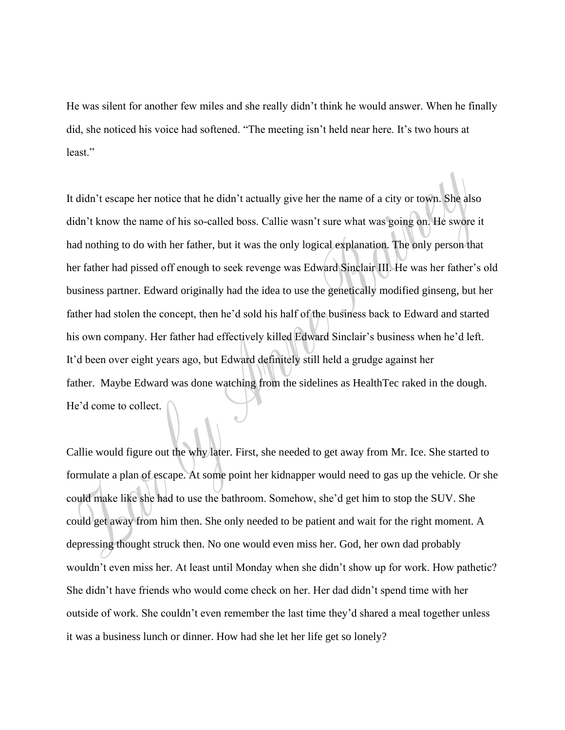He was silent for another few miles and she really didn't think he would answer. When he finally did, she noticed his voice had softened. "The meeting isn't held near here. It's two hours at least."

It didn't escape her notice that he didn't actually give her the name of a city or town. She also didn't know the name of his so-called boss. Callie wasn't sure what was going on. He swore it had nothing to do with her father, but it was the only logical explanation. The only person that her father had pissed off enough to seek revenge was Edward Sinclair III. He was her father's old business partner. Edward originally had the idea to use the genetically modified ginseng, but her father had stolen the concept, then he'd sold his half of the business back to Edward and started his own company. Her father had effectively killed Edward Sinclair's business when he'd left. It'd been over eight years ago, but Edward definitely still held a grudge against her father. Maybe Edward was done watching from the sidelines as HealthTec raked in the dough. He'd come to collect.

Callie would figure out the why later. First, she needed to get away from Mr. Ice. She started to formulate a plan of escape. At some point her kidnapper would need to gas up the vehicle. Or she could make like she had to use the bathroom. Somehow, she'd get him to stop the SUV. She could get away from him then. She only needed to be patient and wait for the right moment. A depressing thought struck then. No one would even miss her. God, her own dad probably wouldn't even miss her. At least until Monday when she didn't show up for work. How pathetic? She didn't have friends who would come check on her. Her dad didn't spend time with her outside of work. She couldn't even remember the last time they'd shared a meal together unless it was a business lunch or dinner. How had she let her life get so lonely?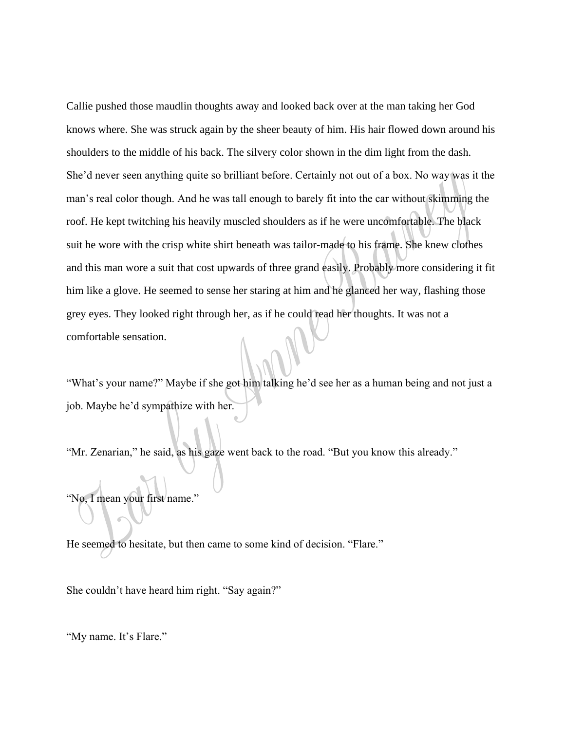Callie pushed those maudlin thoughts away and looked back over at the man taking her God knows where. She was struck again by the sheer beauty of him. His hair flowed down around his shoulders to the middle of his back. The silvery color shown in the dim light from the dash. She'd never seen anything quite so brilliant before. Certainly not out of a box. No way was it the man's real color though. And he was tall enough to barely fit into the car without skimming the roof. He kept twitching his heavily muscled shoulders as if he were uncomfortable. The black suit he wore with the crisp white shirt beneath was tailor-made to his frame. She knew clothes and this man wore a suit that cost upwards of three grand easily. Probably more considering it fit him like a glove. He seemed to sense her staring at him and he glanced her way, flashing those grey eyes. They looked right through her, as if he could read her thoughts. It was not a comfortable sensation.

"What's your name?" Maybe if she got him talking he'd see her as a human being and not just a job. Maybe he'd sympathize with her.

"Mr. Zenarian," he said, as his gaze went back to the road. "But you know this already."

"No, I mean your first name."

He seemed to hesitate, but then came to some kind of decision. "Flare."

She couldn't have heard him right. "Say again?"

"My name. It's Flare."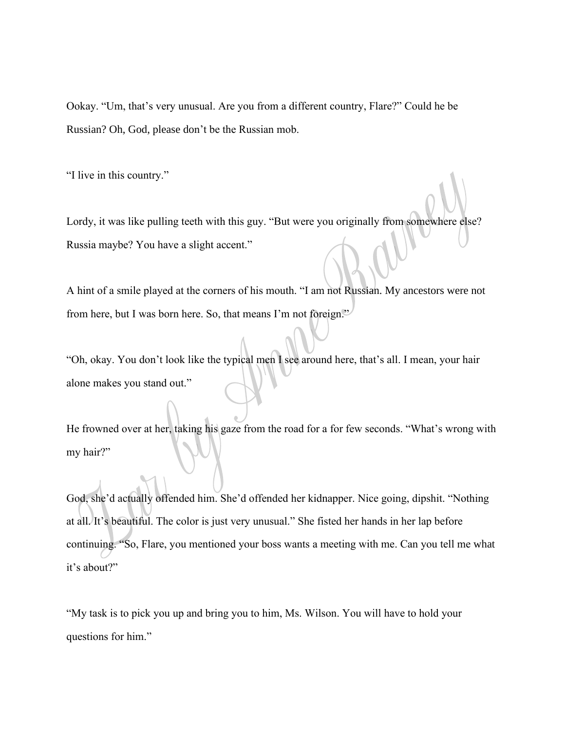Ookay. "Um, that's very unusual. Are you from a different country, Flare?" Could he be Russian? Oh, God, please don't be the Russian mob.

"I live in this country."

Lordy, it was like pulling teeth with this guy. "But were you originally from somewhere else? Russia maybe? You have a slight accent."

A hint of a smile played at the corners of his mouth. "I am not Russian. My ancestors were not from here, but I was born here. So, that means I'm not foreign."

"Oh, okay. You don't look like the typical men I see around here, that's all. I mean, your hair alone makes you stand out."

He frowned over at her, taking his gaze from the road for a for few seconds. "What's wrong with my hair?"

God, she'd actually offended him. She'd offended her kidnapper. Nice going, dipshit. "Nothing at all. It's beautiful. The color is just very unusual." She fisted her hands in her lap before continuing. "So, Flare, you mentioned your boss wants a meeting with me. Can you tell me what it's about?"

"My task is to pick you up and bring you to him, Ms. Wilson. You will have to hold your questions for him."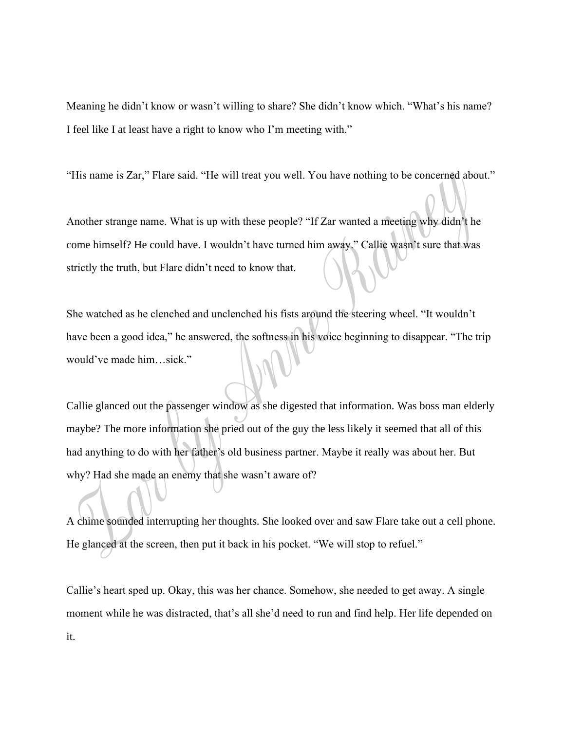Meaning he didn't know or wasn't willing to share? She didn't know which. "What's his name? I feel like I at least have a right to know who I'm meeting with."

"His name is Zar," Flare said. "He will treat you well. You have nothing to be concerned about."

Another strange name. What is up with these people? "If Zar wanted a meeting why didn't he come himself? He could have. I wouldn't have turned him away." Callie wasn't sure that was strictly the truth, but Flare didn't need to know that.

She watched as he clenched and unclenched his fists around the steering wheel. "It wouldn't have been a good idea," he answered, the softness in his voice beginning to disappear. "The trip would've made him…sick."

Callie glanced out the passenger window as she digested that information. Was boss man elderly maybe? The more information she pried out of the guy the less likely it seemed that all of this had anything to do with her father's old business partner. Maybe it really was about her. But why? Had she made an enemy that she wasn't aware of?

A chime sounded interrupting her thoughts. She looked over and saw Flare take out a cell phone. He glanced at the screen, then put it back in his pocket. "We will stop to refuel."

Callie's heart sped up. Okay, this was her chance. Somehow, she needed to get away. A single moment while he was distracted, that's all she'd need to run and find help. Her life depended on it.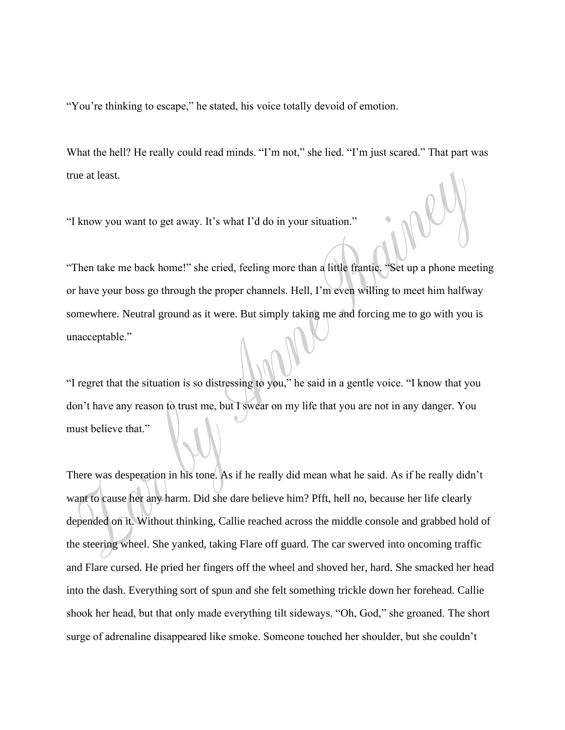"You're thinking to escape," he stated, his voice totally devoid of emotion.

What the hell? He really could read minds. "I'm not," she lied. "I'm just scared." That part was true at least.

"I know you want to get away. It's what I'd do in your situation."

"Then take me back home!" she cried, feeling more than a little frantic. "Set up a phone meeting or have your boss go through the proper channels. Hell, I'm even willing to meet him halfway somewhere. Neutral ground as it were. But simply taking me and forcing me to go with you is unacceptable."

"I regret that the situation is so distressing to you," he said in a gentle voice. "I know that you don't have any reason to trust me, but I swear on my life that you are not in any danger. You must believe that."

There was desperation in his tone. As if he really did mean what he said. As if he really didn't want to cause her any harm. Did she dare believe him? Pfft, hell no, because her life clearly depended on it. Without thinking, Callie reached across the middle console and grabbed hold of the steering wheel. She yanked, taking Flare off guard. The car swerved into oncoming traffic and Flare cursed. He pried her fingers off the wheel and shoved her, hard. She smacked her head into the dash. Everything sort of spun and she felt something trickle down her forehead. Callie shook her head, but that only made everything tilt sideways. "Oh, God," she groaned. The short surge of adrenaline disappeared like smoke. Someone touched her shoulder, but she couldn't